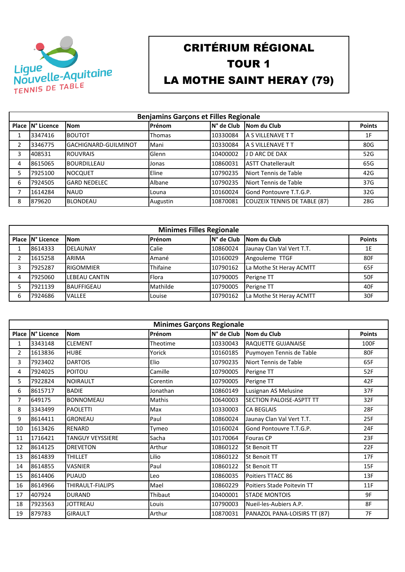

## CRITÉRIUM RÉGIONAL TOUR 1 LA MOTHE SAINT HERAY (79)

|   | <b>Benjamins Garçons et Filles Regionale</b> |                      |               |            |                                     |                |  |  |
|---|----------------------------------------------|----------------------|---------------|------------|-------------------------------------|----------------|--|--|
|   | Place IN° Licence                            | <b>Nom</b>           | Prénom        | N° de Club | Nom du Club                         | <b>Points</b>  |  |  |
|   | 3347416                                      | <b>BOUTOT</b>        | <b>Thomas</b> | 10330084   | <b>A S VILLENAVE T T</b>            | 1 <sub>F</sub> |  |  |
| 2 | 3346775                                      | GACHIGNARD-GUILMINOT | Mani          | 10330084   | <b>A S VILLENAVE T T</b>            | 80G            |  |  |
| 3 | 408531                                       | <b>ROUVRAIS</b>      | Glenn         | 10400002   | J D ARC DE DAX                      | 52G            |  |  |
| 4 | 8615065                                      | BOURDILLEAU          | Jonas         | 10860031   | <b>ASTT Chatellerault</b>           | 65G            |  |  |
| 5 | 7925100                                      | <b>NOCQUET</b>       | Eline         | 10790235   | Niort Tennis de Table               | 42G            |  |  |
| 6 | 7924505                                      | <b>GARD NEDELEC</b>  | Albane        | 10790235   | Niort Tennis de Table               | 37G            |  |  |
| 7 | 1614284                                      | <b>NAUD</b>          | Louna         | 10160024   | <b>Gond Pontouvre T.T.G.P.</b>      | 32G            |  |  |
| 8 | 879620                                       | <b>BLONDEAU</b>      | Augustin      | 10870081   | <b>COUZEIX TENNIS DE TABLE (87)</b> | 28G            |  |  |

|   | <b>Minimes Filles Regionale</b> |                      |              |             |                           |               |  |  |
|---|---------------------------------|----------------------|--------------|-------------|---------------------------|---------------|--|--|
|   | Place IN° Licence               | <b>Nom</b>           | Prénom       | IN° de Club | Nom du Club               | <b>Points</b> |  |  |
|   | 8614333                         | <b>DELAUNAY</b>      | Calie        | 10860024    | Jaunay Clan Val Vert T.T. | 1E            |  |  |
| ີ | 1615258                         | ARIMA                | Amané        | 10160029    | Angouleme TTGF            | 80F           |  |  |
| 3 | 7925287                         | <b>RIGOMMIER</b>     | Thifaine     | 10790162    | La Mothe St Heray ACMTT   | 65F           |  |  |
| 4 | 7925060                         | <b>LEBEAU CANTIN</b> | <b>Flora</b> | 10790005    | Perigne TT                | 50F           |  |  |
|   | 7921139                         | <b>BAUFFIGEAU</b>    | Mathilde     | 10790005    | Perigne TT                | 40F           |  |  |
| 6 | 7924686                         | <b>VALLEE</b>        | Louise       | 10790162    | La Mothe St Heray ACMTT   | 30F           |  |  |

|                | <b>Minimes Garçons Regionale</b> |                         |          |            |                                 |               |  |  |
|----------------|----------------------------------|-------------------------|----------|------------|---------------------------------|---------------|--|--|
|                | Place   N° Licence               | <b>Nom</b>              | Prénom   | N° de Club | Nom du Club                     | <b>Points</b> |  |  |
| 1              | 3343148                          | <b>CLEMENT</b>          | Theotime | 10330043   | <b>RAQUETTE GUJANAISE</b>       | 100F          |  |  |
| $\overline{2}$ | 1613836                          | <b>HUBE</b>             | Yorick   | 10160185   | Puymoyen Tennis de Table        | 80F           |  |  |
| 3              | 7923402                          | <b>DARTOIS</b>          | Elio     | 10790235   | Niort Tennis de Table           | 65F           |  |  |
| 4              | 7924025                          | <b>POITOU</b>           | Camille  | 10790005   | Perigne TT                      | 52F           |  |  |
| 5              | 7922824                          | <b>NOIRAULT</b>         | Corentin | 10790005   | Perigne TT                      | 42F           |  |  |
| 6              | 8615717                          | <b>BADIE</b>            | Jonathan | 10860149   | Lusignan AS Melusine            | 37F           |  |  |
| 7              | 649175                           | <b>BONNOMEAU</b>        | Mathis   | 10640003   | <b>SECTION PALOISE-ASPTT TT</b> | 32F           |  |  |
| 8              | 3343499                          | <b>PAOLETTI</b>         | Max      | 10330003   | <b>CA BEGLAIS</b>               | 28F           |  |  |
| 9              | 8614411                          | <b>GRONEAU</b>          | Paul     | 10860024   | Jaunay Clan Val Vert T.T.       | 25F           |  |  |
| 10             | 1613426                          | <b>RENARD</b>           | Tymeo    | 10160024   | Gond Pontouvre T.T.G.P.         | 24F           |  |  |
| 11             | 1716421                          | <b>TANGUY VEYSSIERE</b> | Sacha    | 10170064   | <b>Fouras CP</b>                | 23F           |  |  |
| 12             | 8614125                          | <b>DREVETON</b>         | Arthur   | 10860122   | <b>St Benoit TT</b>             | 22F           |  |  |
| 13             | 8614839                          | <b>THILLET</b>          | Lilio    | 10860122   | <b>St Benoit TT</b>             | 17F           |  |  |
| 14             | 8614855                          | <b>VASNIER</b>          | Paul     | 10860122   | St Benoit TT                    | 15F           |  |  |
| 15             | 8614406                          | <b>PUAUD</b>            | Leo      | 10860035   | Poitiers TTACC 86               | 13F           |  |  |
| 16             | 8614966                          | THIRAULT-FIALIPS        | Mael     | 10860229   | Poitiers Stade Poitevin TT      | 11F           |  |  |
| 17             | 407924                           | <b>DURAND</b>           | Thibaut  | 10400001   | <b>STADE MONTOIS</b>            | 9F            |  |  |
| 18             | 7923563                          | <b>JOTTREAU</b>         | Louis    | 10790003   | Nueil-les-Aubiers A.P.          | 8F            |  |  |
| 19             | 879783                           | <b>GIRAULT</b>          | Arthur   | 10870031   | PANAZOL PANA-LOISIRS TT (87)    | 7F            |  |  |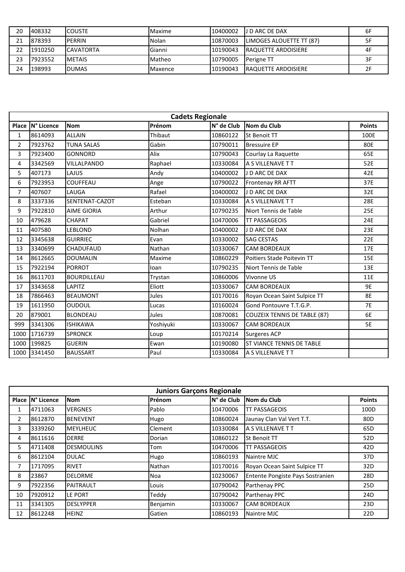| 20 | 408332  | <b>ICOUSTE</b>   | Maxime  | 10400002 | <b>U</b> D ARC DE DAX           | 6F |
|----|---------|------------------|---------|----------|---------------------------------|----|
| 21 | 878393  | <b>PERRIN</b>    | Nolan   | 10870003 | <b>LIMOGES ALOUETTE TT (87)</b> |    |
| 22 | 1910250 | <b>CAVATORTA</b> | Gianni  | 10190043 | <b>IRAQUETTE ARDOISIERE</b>     | 4F |
| 23 | 7923552 | <b>IMETAIS</b>   | Matheo  | 10790005 | <b>I</b> Perigne TT             |    |
| 24 | 198993  | <b>IDUMAS</b>    | Maxence | 10190043 | <b>IRAQUETTE ARDOISIERE</b>     |    |

|                | <b>Cadets Regionale</b> |                    |           |            |                                     |               |  |  |  |
|----------------|-------------------------|--------------------|-----------|------------|-------------------------------------|---------------|--|--|--|
|                | Place IN° Licence       | <b>Nom</b>         | Prénom    | N° de Club | Nom du Club                         | <b>Points</b> |  |  |  |
| $\mathbf{1}$   | 8614093                 | <b>ALLAIN</b>      | Thibaut   | 10860122   | <b>St Benoit TT</b>                 | 100E          |  |  |  |
| $\overline{2}$ | 7923762                 | <b>TUNA SALAS</b>  | Gabin     | 10790011   | <b>Bressuire EP</b>                 | 80E           |  |  |  |
| 3              | 7923400                 | <b>GONNORD</b>     | Alix      | 10790043   | Courlay La Raquette                 | 65E           |  |  |  |
| 4              | 3342569                 | <b>VILLALPANDO</b> | Raphael   | 10330084   | A S VILLENAVE T T                   | 52E           |  |  |  |
| 5              | 407173                  | LAJUS              | Andy      | 10400002   | J D ARC DE DAX                      | 42E           |  |  |  |
| 6              | 7923953                 | <b>COUFFEAU</b>    | Ange      | 10790022   | Frontenay RR AFTT                   | 37E           |  |  |  |
| 7              | 407607                  | LAUGA              | Rafael    | 10400002   | J D ARC DE DAX                      | 32E           |  |  |  |
| 8              | 3337336                 | SENTENAT-CAZOT     | Esteban   | 10330084   | A S VILLENAVE T T                   | 28E           |  |  |  |
| 9              | 7922810                 | <b>AIME GIORIA</b> | Arthur    | 10790235   | Niort Tennis de Table               | 25E           |  |  |  |
| 10             | 479628                  | <b>CHAPAT</b>      | Gabriel   | 10470006   | <b>TT PASSAGEOIS</b>                | 24E           |  |  |  |
| 11             | 407580                  | <b>LEBLOND</b>     | Nolhan    | 10400002   | J D ARC DE DAX                      | 23E           |  |  |  |
| 12             | 3345638                 | <b>GUIRRIEC</b>    | Evan      | 10330002   | <b>SAG CESTAS</b>                   | 22E           |  |  |  |
| 13             | 3340699                 | <b>CHADUFAUD</b>   | Nathan    | 10330067   | <b>CAM BORDEAUX</b>                 | 17E           |  |  |  |
| 14             | 8612665                 | <b>DOUMALIN</b>    | Maxime    | 10860229   | Poitiers Stade Poitevin TT          | 15E           |  |  |  |
| 15             | 7922194                 | <b>PORROT</b>      | Ioan      | 10790235   | Niort Tennis de Table               | 13E           |  |  |  |
| 16             | 8611703                 | <b>BOURDILLEAU</b> | Trystan   | 10860006   | Vivonne US                          | 11E           |  |  |  |
| 17             | 3343658                 | LAPITZ             | Eliott    | 10330067   | <b>CAM BORDEAUX</b>                 | 9E            |  |  |  |
| 18             | 7866463                 | <b>BEAUMONT</b>    | Jules     | 10170016   | Royan Ocean Saint Sulpice TT        | <b>8E</b>     |  |  |  |
| 19             | 1611950                 | OUDOUL             | Lucas     | 10160024   | Gond Pontouvre T.T.G.P.             | <b>7E</b>     |  |  |  |
| 20             | 879001                  | <b>BLONDEAU</b>    | Jules     | 10870081   | <b>COUZEIX TENNIS DE TABLE (87)</b> | 6E            |  |  |  |
| 999            | 3341306                 | <b>ISHIKAWA</b>    | Yoshiyuki | 10330067   | <b>CAM BORDEAUX</b>                 | <b>5E</b>     |  |  |  |
| 1000           | 1716739                 | <b>SPRONCK</b>     | Loup      | 10170214   | <b>Surgeres ACP</b>                 |               |  |  |  |
| 1000           | 199825                  | <b>GUERIN</b>      | Ewan      | 10190080   | <b>ST VIANCE TENNIS DE TABLE</b>    |               |  |  |  |
|                | 1000 3341450            | <b>BAUSSART</b>    | Paul      | 10330084   | A S VILLENAVE TT                    |               |  |  |  |

|                | <b>Juniors Garçons Regionale</b> |                   |                |            |                                  |                 |  |
|----------------|----------------------------------|-------------------|----------------|------------|----------------------------------|-----------------|--|
|                | Place   N° Licence               | <b>Nom</b>        | Prénom         | N° de Club | Nom du Club                      | <b>Points</b>   |  |
| 1              | 4711063                          | <b>VERGNES</b>    | Pablo          | 10470006   | <b>TT PASSAGEOIS</b>             | 100D            |  |
| $\overline{2}$ | 8612870                          | <b>BENEVENT</b>   | Hugo           | 10860024   | Jaunay Clan Val Vert T.T.        | 80 <sub>D</sub> |  |
| 3              | 3339260                          | <b>MEYLHEUC</b>   | <b>Clement</b> | 10330084   | A S VILLENAVE T T                | 65D             |  |
| 4              | 8611616                          | <b>DERRE</b>      | Dorian         | 10860122   | <b>St Benoit TT</b>              | 52D             |  |
| 5.             | 4711408                          | <b>DESMOULINS</b> | Tom            | 10470006   | TT PASSAGEOIS                    | 42 <sub>D</sub> |  |
| 6              | 8612104                          | <b>DULAC</b>      | Hugo           | 10860193   | Naintre MJC                      | 37 <sub>D</sub> |  |
| 7              | 1717095                          | <b>RIVET</b>      | Nathan         | 10170016   | Royan Ocean Saint Sulpice TT     | 32D             |  |
| 8              | 23867                            | DELORME           | Noa            | 10230067   | Entente Pongiste Pays Sostranien | 28D             |  |
| 9              | 7922356                          | <b>PAITRAULT</b>  | Louis          | 10790042   | Parthenay PPC                    | 25D             |  |
| 10             | 7920912                          | LE PORT           | Teddy          | 10790042   | Parthenay PPC                    | 24D             |  |
| 11             | 3341305                          | <b>DESLYPPER</b>  | Benjamin       | 10330067   | <b>CAM BORDEAUX</b>              | 23D             |  |
| 12             | 8612248                          | <b>HEINZ</b>      | Gatien         | 10860193   | Naintre MJC                      | 22D             |  |